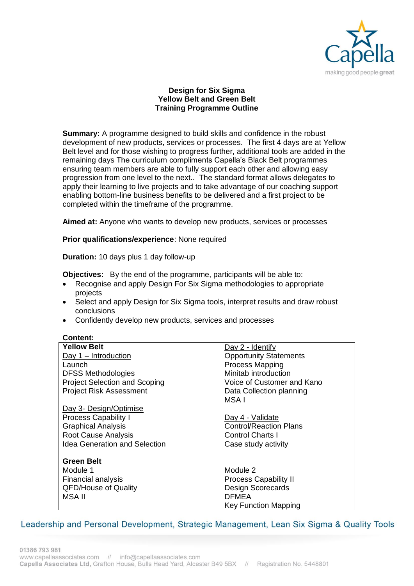

## **Design for Six Sigma Yellow Belt and Green Belt Training Programme Outline**

**Summary:** A programme designed to build skills and confidence in the robust development of new products, services or processes. The first 4 days are at Yellow Belt level and for those wishing to progress further, additional tools are added in the remaining days The curriculum compliments Capella's Black Belt programmes ensuring team members are able to fully support each other and allowing easy progression from one level to the next.. The standard format allows delegates to apply their learning to live projects and to take advantage of our coaching support enabling bottom-line business benefits to be delivered and a first project to be completed within the timeframe of the programme.

**Aimed at:** Anyone who wants to develop new products, services or processes

### **Prior qualifications/experience**: None required

**Duration:** 10 days plus 1 day follow-up

**Objectives:** By the end of the programme, participants will be able to:

- Recognise and apply Design For Six Sigma methodologies to appropriate projects
- Select and apply Design for Six Sigma tools, interpret results and draw robust conclusions
- Confidently develop new products, services and processes

#### **Content:**

| <b>Yellow Belt</b>                   | $Day 2 - Identify$            |
|--------------------------------------|-------------------------------|
| Day $1$ – Introduction               | <b>Opportunity Statements</b> |
| Launch                               | <b>Process Mapping</b>        |
| <b>DFSS Methodologies</b>            | Minitab introduction          |
| <b>Project Selection and Scoping</b> | Voice of Customer and Kano    |
| <b>Project Risk Assessment</b>       | Data Collection planning      |
|                                      | MSA I                         |
| Day 3- Design/Optimise               |                               |
| <b>Process Capability I</b>          | Day 4 - Validate              |
| <b>Graphical Analysis</b>            | <b>Control/Reaction Plans</b> |
| <b>Root Cause Analysis</b>           | <b>Control Charts I</b>       |
| <b>Idea Generation and Selection</b> | Case study activity           |
|                                      |                               |
| Green Belt                           |                               |
| Module 1                             | Module 2                      |
| <b>Financial analysis</b>            | <b>Process Capability II</b>  |
| <b>QFD/House of Quality</b>          | <b>Design Scorecards</b>      |
| <b>MSA II</b>                        | <b>DFMEA</b>                  |
|                                      | <b>Key Function Mapping</b>   |

# Leadership and Personal Development, Strategic Management, Lean Six Sigma & Quality Tools